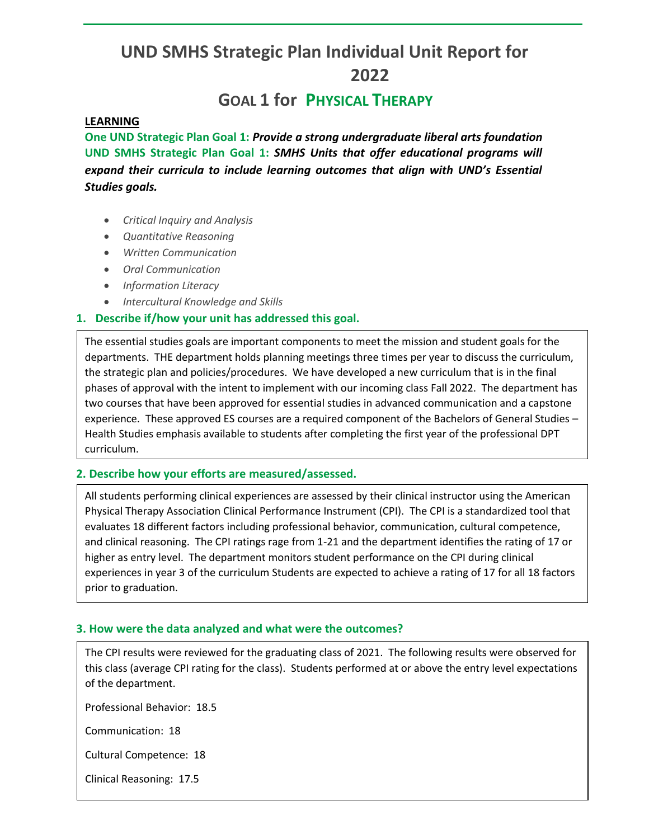# **UND SMHS Strategic Plan Individual Unit Report for 2022**

## **GOAL 1 for PHYSICAL THERAPY**

#### **LEARNING**

**One UND Strategic Plan Goal 1:** *Provide a strong undergraduate liberal arts foundation* **UND SMHS Strategic Plan Goal 1:** *SMHS Units that offer educational programs will expand their curricula to include learning outcomes that align with UND's Essential Studies goals.* 

- *Critical Inquiry and Analysis*
- *Quantitative Reasoning*
- *Written Communication*
- *Oral Communication*
- *Information Literacy*
- *Intercultural Knowledge and Skills*

#### **1. Describe if/how your unit has addressed this goal.**

The essential studies goals are important components to meet the mission and student goals for the departments. THE department holds planning meetings three times per year to discuss the curriculum, the strategic plan and policies/procedures. We have developed a new curriculum that is in the final phases of approval with the intent to implement with our incoming class Fall 2022. The department has two courses that have been approved for essential studies in advanced communication and a capstone experience. These approved ES courses are a required component of the Bachelors of General Studies – Health Studies emphasis available to students after completing the first year of the professional DPT curriculum.

#### **2. Describe how your efforts are measured/assessed.**

All students performing clinical experiences are assessed by their clinical instructor using the American Physical Therapy Association Clinical Performance Instrument (CPI). The CPI is a standardized tool that evaluates 18 different factors including professional behavior, communication, cultural competence, and clinical reasoning. The CPI ratings rage from 1-21 and the department identifies the rating of 17 or higher as entry level. The department monitors student performance on the CPI during clinical experiences in year 3 of the curriculum Students are expected to achieve a rating of 17 for all 18 factors prior to graduation.

#### **3. How were the data analyzed and what were the outcomes?**

The CPI results were reviewed for the graduating class of 2021. The following results were observed for this class (average CPI rating for the class). Students performed at or above the entry level expectations of the department.

Professional Behavior: 18.5

Communication: 18

Cultural Competence: 18

Clinical Reasoning: 17.5